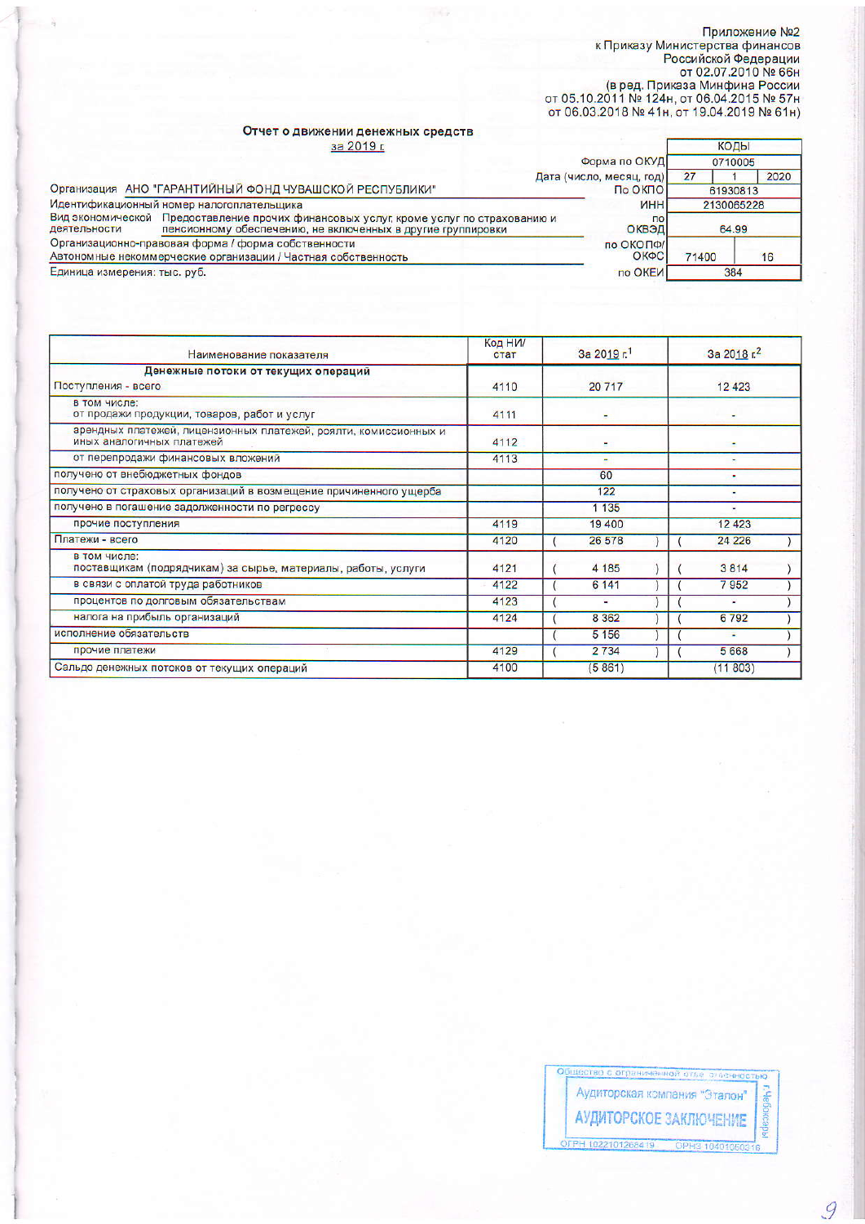## Приложение №2<br>к Приказу Министерства финансов<br>Российской Федерации<br>от 02.07.2010 № 66н<br>(в ред. Приказа Минфина России<br>от 05.10.2011 № 124н, от 06.04.2015 № 57н<br>от 06.03.2018 № 41н, от 19.04.2019 № 61н)

## Отчет о движении денежных средств за 2019 г.

| за 2019 г.                                                                                                                                                            |                          | КОДЫ       |      |  |
|-----------------------------------------------------------------------------------------------------------------------------------------------------------------------|--------------------------|------------|------|--|
| Форма по ОКУД                                                                                                                                                         |                          | 0710005    |      |  |
|                                                                                                                                                                       | Дата (число, месяц, год) | 27         | 2020 |  |
| Организация АНО "ГАРАНТИЙНЫЙ ФОНД ЧУВАШСКОЙ РЕСПУБЛИКИ"                                                                                                               | По ОКПО                  | 61930813   |      |  |
| Идентификационный номер налогоплательщика                                                                                                                             | <b>MHH</b>               | 2130065228 |      |  |
| Вид экономической Предоставление прочих финансовых услуг, кроме услуг по страхованию и<br>пенсионному обеспечению, не включенных в другие группировки<br>деятельности | $\overline{10}$<br>ОКВЭД | 64.99      |      |  |
| Организационно-правовая форма / форма собственности<br>Автономные некоммерческие организации / Частная собственность                                                  | по ОКОПФ/<br>ОКФС        | 71400      | 16   |  |
| Единица измерения: тыс. руб.                                                                                                                                          | по ОКЕИ                  | 384        |      |  |

| Наименование показателя                                                                       | Код НИ/<br>стат | За 2019 г. | За 2018 г. <sup>2</sup> |  |  |
|-----------------------------------------------------------------------------------------------|-----------------|------------|-------------------------|--|--|
| Денежные потоки от текущих операций<br>Поступления - всего                                    | 4110            | 20717      | 12 4 23                 |  |  |
| в том числе:<br>от продажи продукции, товаров, работ и услуг                                  | 4111            |            |                         |  |  |
| арендных платежей, лицензионных платежей, роялти, комиссионных и<br>иных аналогичных платежей | 4112            |            |                         |  |  |
| от перепродажи финансовых вложений                                                            | 4113            |            |                         |  |  |
| получено от внебюджетных фондов                                                               |                 | 60         |                         |  |  |
| получено от страховых организаций в возмещение причиненного ущерба                            |                 | 122        |                         |  |  |
| получено в погашение задолженности по регрессу                                                |                 | 1 1 3 5    |                         |  |  |
| прочие поступления                                                                            | 4119            | 19 400     | 12 4 23                 |  |  |
| Платежи - всего                                                                               | 4120            | 26 578     | 24 2 26                 |  |  |
| в том числе:<br>поставщикам (подрядчикам) за сырье, материалы, работы, услуги                 | 4121            | 4 185      | 3814                    |  |  |
| в связи с оплатой труда работников                                                            | 4122            | 6 14 1     | 7952                    |  |  |
| процентов по долговым обязательствам                                                          | 4123            | ٠          | Ξ                       |  |  |
| налога на прибыль организаций                                                                 | 4124            | 8 3 6 2    | 6792                    |  |  |
| исполнение обязательств                                                                       |                 | 5 1 5 6    | ÷                       |  |  |
| прочие платежи                                                                                | 4129            | 2734       | 5668                    |  |  |
| Сальдо денежных потоков от текущих операций                                                   | 4100            | (5861)     | (11803)                 |  |  |

9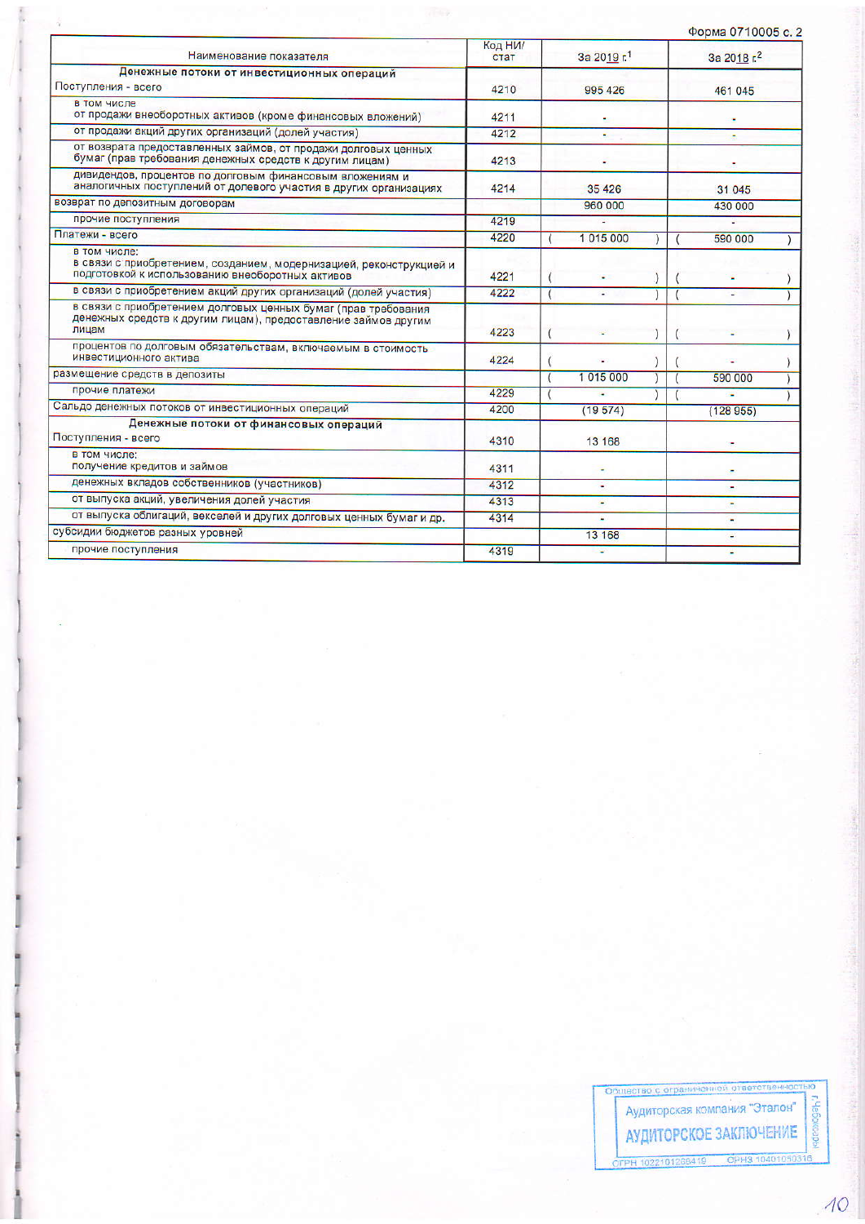|                                                                                                                                           |                 |                |  |             | Форма 0710005 с. 2 |  |  |
|-------------------------------------------------------------------------------------------------------------------------------------------|-----------------|----------------|--|-------------|--------------------|--|--|
| Наименование показателя                                                                                                                   | Код НИ/<br>стат | За 2019 г.1    |  | За 2018 г.2 |                    |  |  |
| Денежные потоки от инвестиционных операций                                                                                                |                 |                |  |             |                    |  |  |
| Поступления - всего                                                                                                                       | 4210            | 995 426        |  | 461 045     |                    |  |  |
| в том числе<br>от продажи внеоборотных активов (кроме финансовых вложений)                                                                | 4211            |                |  |             |                    |  |  |
| от продажи акций других организаций (долей участия)                                                                                       | 4212            |                |  |             |                    |  |  |
| от возврата предоставленных займов, от продажи долговых ценных<br>бумаг (прав требования денежных средств к другим лицам)                 | 4213            |                |  |             |                    |  |  |
| дивидендов, процентов по долговым финансовым вложениям и<br>аналогичных поступлений от долевого участия в других организациях             | 4214            | 35 4 26        |  |             | 31 045             |  |  |
| возврат по депозитным договорам                                                                                                           |                 | 960 000        |  |             | 430 000            |  |  |
| прочие поступления                                                                                                                        | 4219            | $\blacksquare$ |  |             |                    |  |  |
| Платежи - всего                                                                                                                           | 4220            | 1015000        |  |             | 590 000            |  |  |
| в том числе:<br>в связи с приобретением, созданием, модернизацией, реконструкцией и<br>подготовкой к использованию внеоборотных активов   | 4221            |                |  |             |                    |  |  |
| в связи с приобретением акций других организаций (долей участия)                                                                          | 4222            |                |  |             |                    |  |  |
| в связи с приобретением долговых ценных бумаг (прав требования<br>денежных средств к другим лицам), предоставление займов другим<br>лицам | 4223            |                |  |             |                    |  |  |
| процентов по долговым обязательствам, включаемым в стоимость<br>инвестиционного актива                                                    | 4224            |                |  |             |                    |  |  |
| размещение средств в депозиты                                                                                                             |                 | 1015000        |  |             | 590 000            |  |  |
| прочие платежи                                                                                                                            | 4229            |                |  |             | ÷                  |  |  |
| Сальдо денежных потоков от инвестиционных операций                                                                                        | 4200            | (19574)        |  |             | (128955)           |  |  |
| Денежные потоки от финансовых операций<br>Поступления - всего                                                                             | 4310            | 13 168         |  |             |                    |  |  |
| в том числе:<br>получение кредитов и займов                                                                                               | 4311            | ٠              |  |             |                    |  |  |
| денежных вкладов собственников (участников)                                                                                               | 4312            | ¥.             |  |             |                    |  |  |
| от выпуска акций, увеличения долей участия                                                                                                | 4313            | ٠              |  |             |                    |  |  |
| от выпуска облигаций, векселей и других долговых ценных бумаг и др.                                                                       | 4314            | ٠              |  |             | ٠                  |  |  |
| субсидии бюджетов разных уровней                                                                                                          |                 | 13 168         |  |             | ٠                  |  |  |
| прочие поступления                                                                                                                        | 4319            | $\sim$         |  |             | ٠                  |  |  |

 $\hat{q}$